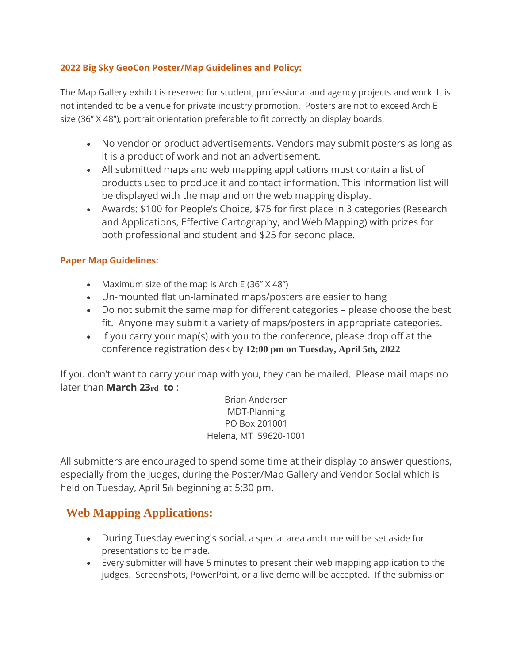## **2022 Big Sky GeoCon Poster/Map Guidelines and Policy:**

The Map Gallery exhibit is reserved for student, professional and agency projects and work. It is not intended to be a venue for private industry promotion. Posters are not to exceed Arch E size (36" X 48"), portrait orientation preferable to fit correctly on display boards.

- No vendor or product advertisements. Vendors may submit posters as long as it is a product of work and not an advertisement.
- All submitted maps and web mapping applications must contain a list of products used to produce it and contact information. This information list will be displayed with the map and on the web mapping display.
- Awards: \$100 for People's Choice, \$75 for first place in 3 categories (Research and Applications, Effective Cartography, and Web Mapping) with prizes for both professional and student and \$25 for second place.

## **Paper Map Guidelines:**

- Maximum size of the map is Arch E (36" X 48")
- Un-mounted flat un-laminated maps/posters are easier to hang
- Do not submit the same map for different categories please choose the best fit. Anyone may submit a variety of maps/posters in appropriate categories.
- If you carry your map(s) with you to the conference, please drop off at the conference registration desk by **12:00 pm on Tuesday, April 5th, 2022**

If you don't want to carry your map with you, they can be mailed. Please mail maps no later than **March 23rd to** :

> Brian Andersen MDT-Planning PO Box 201001 Helena, MT 59620-1001

All submitters are encouraged to spend some time at their display to answer questions, especially from the judges, during the Poster/Map Gallery and Vendor Social which is held on Tuesday, April 5th beginning at 5:30 pm.

## **Web Mapping Applications:**

- During Tuesday evening's social, a special area and time will be set aside for presentations to be made.
- Every submitter will have 5 minutes to present their web mapping application to the judges. Screenshots, PowerPoint, or a live demo will be accepted. If the submission